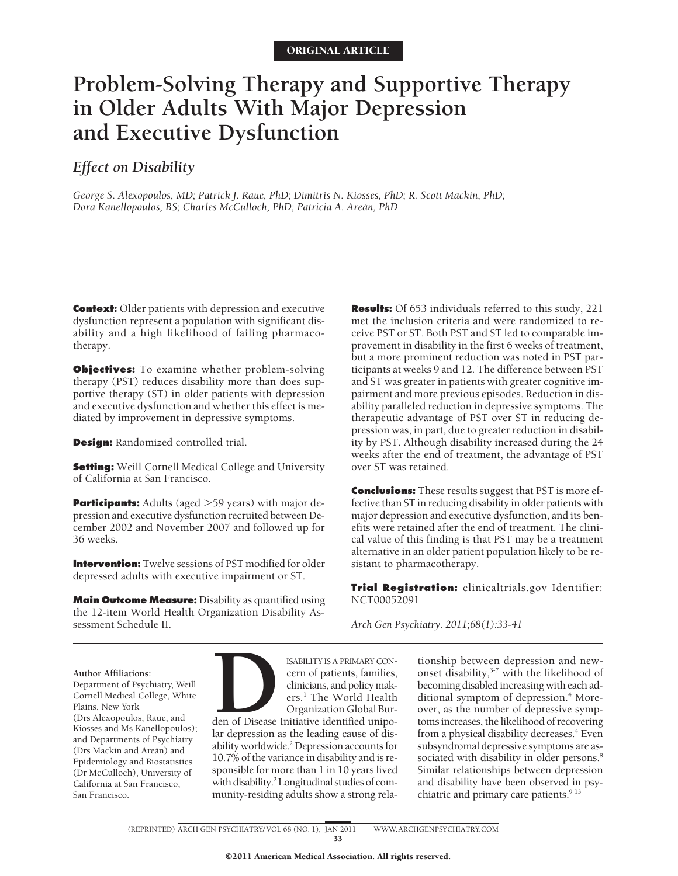# **Problem-Solving Therapy and Supportive Therapy in Older Adults With Major Depression and Executive Dysfunction**

## *Effect on Disability*

*George S. Alexopoulos, MD; Patrick J. Raue, PhD; Dimitris N. Kiosses, PhD; R. Scott Mackin, PhD;* Dora Kanellopoulos, BS; Charles McCulloch, PhD; Patricia A. Areán, PhD

**Context:** Older patients with depression and executive dysfunction represent a population with significant disability and a high likelihood of failing pharmacotherapy.

**Objectives:** To examine whether problem-solving therapy (PST) reduces disability more than does supportive therapy (ST) in older patients with depression and executive dysfunction and whether this effect is mediated by improvement in depressive symptoms.

**Design:** Randomized controlled trial.

**Setting:** Weill Cornell Medical College and University of California at San Francisco.

**Participants:** Adults (aged >59 years) with major depression and executive dysfunction recruited between December 2002 and November 2007 and followed up for 36 weeks.

**Intervention:** Twelve sessions of PST modified for older depressed adults with executive impairment or ST.

**Main Outcome Measure:** Disability as quantified using the 12-item World Health Organization Disability Assessment Schedule II.

**Results:** Of 653 individuals referred to this study, 221 met the inclusion criteria and were randomized to receive PST or ST. Both PST and ST led to comparable improvement in disability in the first 6 weeks of treatment, but a more prominent reduction was noted in PST participants at weeks 9 and 12. The difference between PST and ST was greater in patients with greater cognitive impairment and more previous episodes. Reduction in disability paralleled reduction in depressive symptoms. The therapeutic advantage of PST over ST in reducing depression was, in part, due to greater reduction in disability by PST. Although disability increased during the 24 weeks after the end of treatment, the advantage of PST over ST was retained.

**Conclusions:** These results suggest that PST is more effective than ST in reducing disability in older patients with major depression and executive dysfunction, and its benefits were retained after the end of treatment. The clinical value of this finding is that PST may be a treatment alternative in an older patient population likely to be resistant to pharmacotherapy.

**Trial Registration:** clinicaltrials.gov Identifier: NCT00052091

*Arch Gen Psychiatry. 2011;68(1):33-41*

**Author Affiliations:** Department of Psychiatry, Weill Cornell Medical College, White

Plains, New York (Drs Alexopoulos, Raue, and Kiosses and Ms Kanellopoulos); and Departments of Psychiatry (Drs Mackin and Areán) and Epidemiology and Biostatistics (Dr McCulloch), University of California at San Francisco, San Francisco.



**DEABILITY IS A PRIMARY CON-**<br>
cern of patients, families,<br>
clinicians, and policy mak-<br>
ers.<sup>1</sup> The World Health<br>
Organization Global Bur-<br>
depression as the leading cause of discern of patients, families, clinicians, and policymakers.<sup>1</sup> The World Health Organization Global Bur-

den of Disease Initiative identified unipoability worldwide.<sup>2</sup> Depression accounts for 10.7% of the variance in disability and is responsible for more than 1 in 10 years lived with disability.<sup>2</sup> Longitudinal studies of community-residing adults show a strong relationship between depression and newonset disability,<sup>3-7</sup> with the likelihood of becoming disabled increasing with each additional symptom of depression.<sup>4</sup> Moreover, as the number of depressive symptoms increases, the likelihood of recovering from a physical disability decreases.<sup>4</sup> Even subsyndromal depressive symptoms are associated with disability in older persons.<sup>8</sup> Similar relationships between depression and disability have been observed in psychiatric and primary care patients.<sup>9-13</sup>

(REPRINTED) ARCH GEN PSYCHIATRY/ VOL 68 (NO. 1), JAN 2011 WWW.ARCHGENPSYCHIATRY.COM 33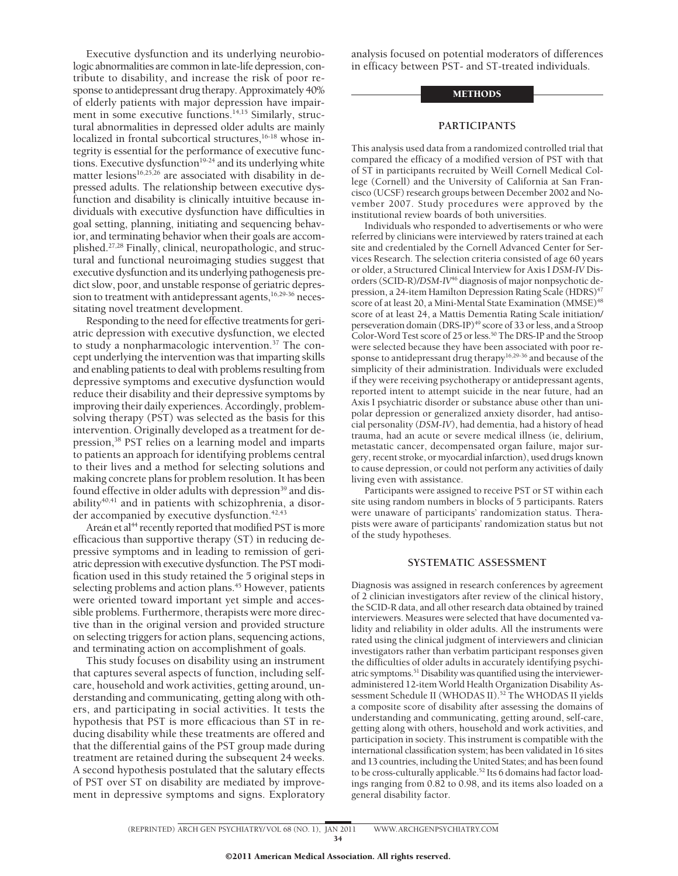Executive dysfunction and its underlying neurobiologic abnormalities are common in late-life depression, contribute to disability, and increase the risk of poor response to antidepressant drug therapy. Approximately 40% of elderly patients with major depression have impairment in some executive functions.<sup>14,15</sup> Similarly, structural abnormalities in depressed older adults are mainly localized in frontal subcortical structures,<sup>16-18</sup> whose integrity is essential for the performance of executive functions. Executive dysfunction<sup>19-24</sup> and its underlying white matter lesions<sup>16,25,26</sup> are associated with disability in depressed adults. The relationship between executive dysfunction and disability is clinically intuitive because individuals with executive dysfunction have difficulties in goal setting, planning, initiating and sequencing behavior, and terminating behavior when their goals are accomplished.27,28 Finally, clinical, neuropathologic, and structural and functional neuroimaging studies suggest that executive dysfunction and its underlying pathogenesis predict slow, poor, and unstable response of geriatric depression to treatment with antidepressant agents,<sup>16,29-36</sup> necessitating novel treatment development.

Responding to the need for effective treatments for geriatric depression with executive dysfunction, we elected to study a nonpharmacologic intervention.37 The concept underlying the intervention was that imparting skills and enabling patients to deal with problems resulting from depressive symptoms and executive dysfunction would reduce their disability and their depressive symptoms by improving their daily experiences. Accordingly, problemsolving therapy (PST) was selected as the basis for this intervention. Originally developed as a treatment for depression,38 PST relies on a learning model and imparts to patients an approach for identifying problems central to their lives and a method for selecting solutions and making concrete plans for problem resolution. It has been found effective in older adults with depression<sup>39</sup> and disability $40,41$  and in patients with schizophrenia, a disorder accompanied by executive dysfunction.<sup>42,43</sup>

Areán et al<sup>44</sup> recently reported that modified PST is more efficacious than supportive therapy (ST) in reducing depressive symptoms and in leading to remission of geriatric depression with executive dysfunction. The PST modification used in this study retained the 5 original steps in selecting problems and action plans.<sup>45</sup> However, patients were oriented toward important yet simple and accessible problems. Furthermore, therapists were more directive than in the original version and provided structure on selecting triggers for action plans, sequencing actions, and terminating action on accomplishment of goals.

This study focuses on disability using an instrument that captures several aspects of function, including selfcare, household and work activities, getting around, understanding and communicating, getting along with others, and participating in social activities. It tests the hypothesis that PST is more efficacious than ST in reducing disability while these treatments are offered and that the differential gains of the PST group made during treatment are retained during the subsequent 24 weeks. A second hypothesis postulated that the salutary effects of PST over ST on disability are mediated by improvement in depressive symptoms and signs. Exploratory

analysis focused on potential moderators of differences in efficacy between PST- and ST-treated individuals.

## METHODS

#### **PARTICIPANTS**

This analysis used data from a randomized controlled trial that compared the efficacy of a modified version of PST with that of ST in participants recruited by Weill Cornell Medical College (Cornell) and the University of California at San Francisco (UCSF) research groups between December 2002 and November 2007. Study procedures were approved by the institutional review boards of both universities.

Individuals who responded to advertisements or who were referred by clinicians were interviewed by raters trained at each site and credentialed by the Cornell Advanced Center for Services Research. The selection criteria consisted of age 60 years or older, a Structured Clinical Interview for Axis I *DSM-IV* Disorders (SCID-R)/*DSM-IV*<sup>46</sup> diagnosis of major nonpsychotic depression, a 24-item Hamilton Depression Rating Scale (HDRS)<sup>47</sup> score of at least 20, a Mini-Mental State Examination (MMSE)<sup>48</sup> score of at least 24, a Mattis Dementia Rating Scale initiation/ perseveration domain (DRS-IP)<sup>49</sup> score of 33 or less, and a Stroop Color-Word Test score of 25 or less.<sup>50</sup> The DRS-IP and the Stroop were selected because they have been associated with poor response to antidepressant drug therapy<sup>16,29-36</sup> and because of the simplicity of their administration. Individuals were excluded if they were receiving psychotherapy or antidepressant agents, reported intent to attempt suicide in the near future, had an Axis I psychiatric disorder or substance abuse other than unipolar depression or generalized anxiety disorder, had antisocial personality (*DSM-IV*), had dementia, had a history of head trauma, had an acute or severe medical illness (ie, delirium, metastatic cancer, decompensated organ failure, major surgery, recent stroke, or myocardial infarction), used drugs known to cause depression, or could not perform any activities of daily living even with assistance.

Participants were assigned to receive PST or ST within each site using random numbers in blocks of 5 participants. Raters were unaware of participants' randomization status. Therapists were aware of participants' randomization status but not of the study hypotheses.

#### **SYSTEMATIC ASSESSMENT**

Diagnosis was assigned in research conferences by agreement of 2 clinician investigators after review of the clinical history, the SCID-R data, and all other research data obtained by trained interviewers. Measures were selected that have documented validity and reliability in older adults. All the instruments were rated using the clinical judgment of interviewers and clinician investigators rather than verbatim participant responses given the difficulties of older adults in accurately identifying psychiatric symptoms.51 Disability was quantified using the intervieweradministered 12-item World Health Organization Disability Assessment Schedule II (WHODAS II).<sup>52</sup> The WHODAS II yields a composite score of disability after assessing the domains of understanding and communicating, getting around, self-care, getting along with others, household and work activities, and participation in society. This instrument is compatible with the international classification system; has been validated in 16 sites and 13 countries, including the United States; and has been found to be cross-culturally applicable.<sup>52</sup> Its 6 domains had factor loadings ranging from 0.82 to 0.98, and its items also loaded on a general disability factor.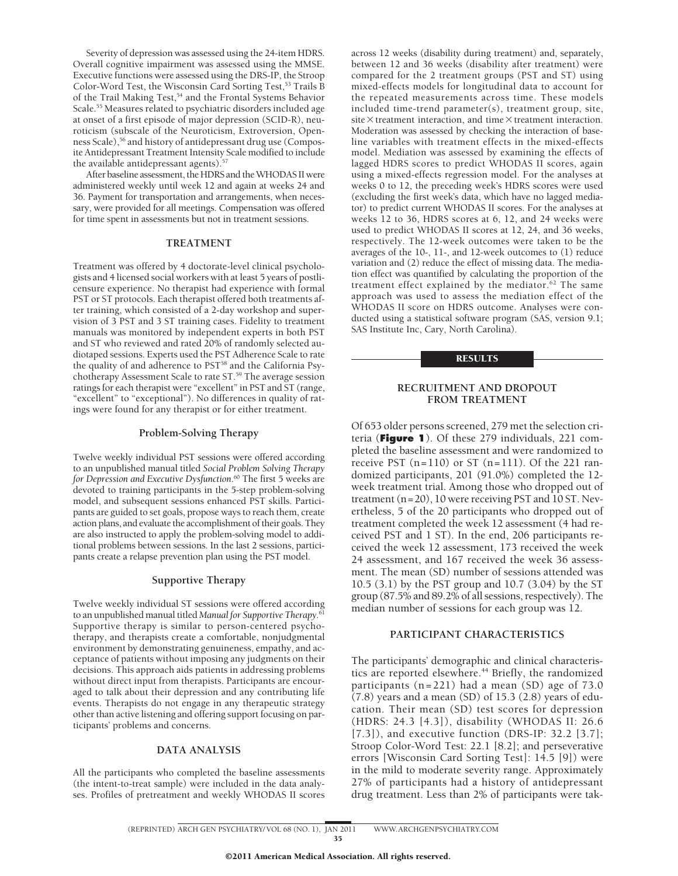Severity of depression was assessed using the 24-item HDRS. Overall cognitive impairment was assessed using the MMSE. Executive functions were assessed using the DRS-IP, the Stroop Color-Word Test, the Wisconsin Card Sorting Test,<sup>53</sup> Trails B of the Trail Making Test,<sup>54</sup> and the Frontal Systems Behavior Scale.<sup>55</sup> Measures related to psychiatric disorders included age at onset of a first episode of major depression (SCID-R), neuroticism (subscale of the Neuroticism, Extroversion, Openness Scale),<sup>56</sup> and history of antidepressant drug use (Composite Antidepressant Treatment Intensity Scale modified to include the available antidepressant agents).<sup>57</sup>

After baseline assessment, the HDRS and theWHODAS II were administered weekly until week 12 and again at weeks 24 and 36. Payment for transportation and arrangements, when necessary, were provided for all meetings. Compensation was offered for time spent in assessments but not in treatment sessions.

## **TREATMENT**

Treatment was offered by 4 doctorate-level clinical psychologists and 4 licensed social workers with at least 5 years of postlicensure experience. No therapist had experience with formal PST or ST protocols. Each therapist offered both treatments after training, which consisted of a 2-day workshop and supervision of 3 PST and 3 ST training cases. Fidelity to treatment manuals was monitored by independent experts in both PST and ST who reviewed and rated 20% of randomly selected audiotaped sessions. Experts used the PST Adherence Scale to rate the quality of and adherence to PST<sup>58</sup> and the California Psychotherapy Assessment Scale to rate ST.<sup>59</sup> The average session ratings for each therapist were "excellent" in PST and ST (range, "excellent" to "exceptional"). No differences in quality of ratings were found for any therapist or for either treatment.

#### **Problem-Solving Therapy**

Twelve weekly individual PST sessions were offered according to an unpublished manual titled *Social Problem Solving Therapy for Depression and Executive Dysfunction*. <sup>60</sup> The first 5 weeks are devoted to training participants in the 5-step problem-solving model, and subsequent sessions enhanced PST skills. Participants are guided to set goals, propose ways to reach them, create action plans, and evaluate the accomplishment of their goals. They are also instructed to apply the problem-solving model to additional problems between sessions. In the last 2 sessions, participants create a relapse prevention plan using the PST model.

## **Supportive Therapy**

Twelve weekly individual ST sessions were offered according to an unpublished manual titled *Manual for Supportive Therapy.*<sup>61</sup> Supportive therapy is similar to person-centered psychotherapy, and therapists create a comfortable, nonjudgmental environment by demonstrating genuineness, empathy, and acceptance of patients without imposing any judgments on their decisions. This approach aids patients in addressing problems without direct input from therapists. Participants are encouraged to talk about their depression and any contributing life events. Therapists do not engage in any therapeutic strategy other than active listening and offering support focusing on participants' problems and concerns.

#### **DATA ANALYSIS**

All the participants who completed the baseline assessments (the intent-to-treat sample) were included in the data analyses. Profiles of pretreatment and weekly WHODAS II scores across 12 weeks (disability during treatment) and, separately, between 12 and 36 weeks (disability after treatment) were compared for the 2 treatment groups (PST and ST) using mixed-effects models for longitudinal data to account for the repeated measurements across time. These models included time-trend parameter(s), treatment group, site, site  $\times$  treatment interaction, and time  $\times$  treatment interaction. Moderation was assessed by checking the interaction of baseline variables with treatment effects in the mixed-effects model. Mediation was assessed by examining the effects of lagged HDRS scores to predict WHODAS II scores, again using a mixed-effects regression model. For the analyses at weeks 0 to 12, the preceding week's HDRS scores were used (excluding the first week's data, which have no lagged mediator) to predict current WHODAS II scores. For the analyses at weeks 12 to 36, HDRS scores at 6, 12, and 24 weeks were used to predict WHODAS II scores at 12, 24, and 36 weeks, respectively. The 12-week outcomes were taken to be the averages of the 10-, 11-, and 12-week outcomes to (1) reduce variation and (2) reduce the effect of missing data. The mediation effect was quantified by calculating the proportion of the treatment effect explained by the mediator.<sup>62</sup> The same approach was used to assess the mediation effect of the WHODAS II score on HDRS outcome. Analyses were conducted using a statistical software program (SAS, version 9.1; SAS Institute Inc, Cary, North Carolina).

#### **RESULTS**

## **RECRUITMENT AND DROPOUT FROM TREATMENT**

Of 653 older persons screened, 279 met the selection criteria (**Figure 1**). Of these 279 individuals, 221 completed the baseline assessment and were randomized to receive PST  $(n=110)$  or ST  $(n=111)$ . Of the 221 randomized participants, 201 (91.0%) completed the 12 week treatment trial. Among those who dropped out of treatment (n=20), 10 were receiving PST and 10 ST. Nevertheless, 5 of the 20 participants who dropped out of treatment completed the week 12 assessment (4 had received PST and 1 ST). In the end, 206 participants received the week 12 assessment, 173 received the week 24 assessment, and 167 received the week 36 assessment. The mean (SD) number of sessions attended was 10.5 (3.1) by the PST group and 10.7 (3.04) by the ST group (87.5% and 89.2% of all sessions, respectively). The median number of sessions for each group was 12.

## **PARTICIPANT CHARACTERISTICS**

The participants' demographic and clinical characteristics are reported elsewhere.<sup>44</sup> Briefly, the randomized participants (n=221) had a mean (SD) age of 73.0 (7.8) years and a mean (SD) of 15.3 (2.8) years of education. Their mean (SD) test scores for depression (HDRS: 24.3 [4.3]), disability (WHODAS II: 26.6 [7.3]), and executive function (DRS-IP: 32.2 [3.7]; Stroop Color-Word Test: 22.1 [8.2]; and perseverative errors [Wisconsin Card Sorting Test]: 14.5 [9]) were in the mild to moderate severity range. Approximately 27% of participants had a history of antidepressant drug treatment. Less than 2% of participants were tak-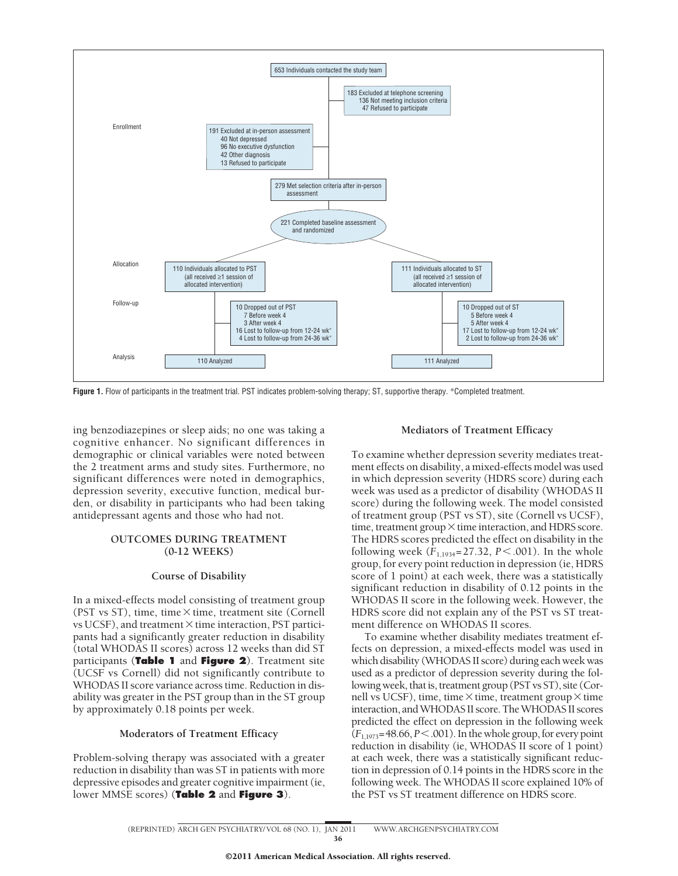

Figure 1. Flow of participants in the treatment trial. PST indicates problem-solving therapy; ST, supportive therapy. \*Completed treatment.

ing benzodiazepines or sleep aids; no one was taking a cognitive enhancer. No significant differences in demographic or clinical variables were noted between the 2 treatment arms and study sites. Furthermore, no significant differences were noted in demographics, depression severity, executive function, medical burden, or disability in participants who had been taking antidepressant agents and those who had not.

## **OUTCOMES DURING TREATMENT (0-12 WEEKS)**

## **Course of Disability**

In a mixed-effects model consisting of treatment group (PST vs ST), time, time  $\times$  time, treatment site (Cornell  $v_s$  UCSF), and treatment  $\times$  time interaction, PST participants had a significantly greater reduction in disability (total WHODAS II scores) across 12 weeks than did ST participants (**Table 1** and **Figure 2**). Treatment site (UCSF vs Cornell) did not significantly contribute to WHODAS II score variance across time. Reduction in disability was greater in the PST group than in the ST group by approximately 0.18 points per week.

## **Moderators of Treatment Efficacy**

Problem-solving therapy was associated with a greater reduction in disability than was ST in patients with more depressive episodes and greater cognitive impairment (ie, lower MMSE scores) (**Table 2** and **Figure 3**).

## **Mediators of Treatment Efficacy**

To examine whether depression severity mediates treatment effects on disability, a mixed-effects model was used in which depression severity (HDRS score) during each week was used as a predictor of disability (WHODAS II score) during the following week. The model consisted of treatment group (PST vs ST), site (Cornell vs UCSF), time, treatment group  $\times$  time interaction, and HDRS score. The HDRS scores predicted the effect on disability in the following week  $(F_{1,1934}=27.32, P<.001)$ . In the whole group, for every point reduction in depression (ie, HDRS score of 1 point) at each week, there was a statistically significant reduction in disability of 0.12 points in the WHODAS II score in the following week. However, the HDRS score did not explain any of the PST vs ST treatment difference on WHODAS II scores.

To examine whether disability mediates treatment effects on depression, a mixed-effects model was used in which disability (WHODAS II score) during each week was used as a predictor of depression severity during the following week, that is, treatment group (PST vs ST), site (Cornell vs UCSF), time, time  $\times$  time, treatment group  $\times$  time interaction, andWHODAS II score. TheWHODAS II scores predicted the effect on depression in the following week  $(F_{1,1973}=48.66, P<.001)$ . In the whole group, for every point reduction in disability (ie, WHODAS II score of 1 point) at each week, there was a statistically significant reduction in depression of 0.14 points in the HDRS score in the following week. The WHODAS II score explained 10% of the PST vs ST treatment difference on HDRS score.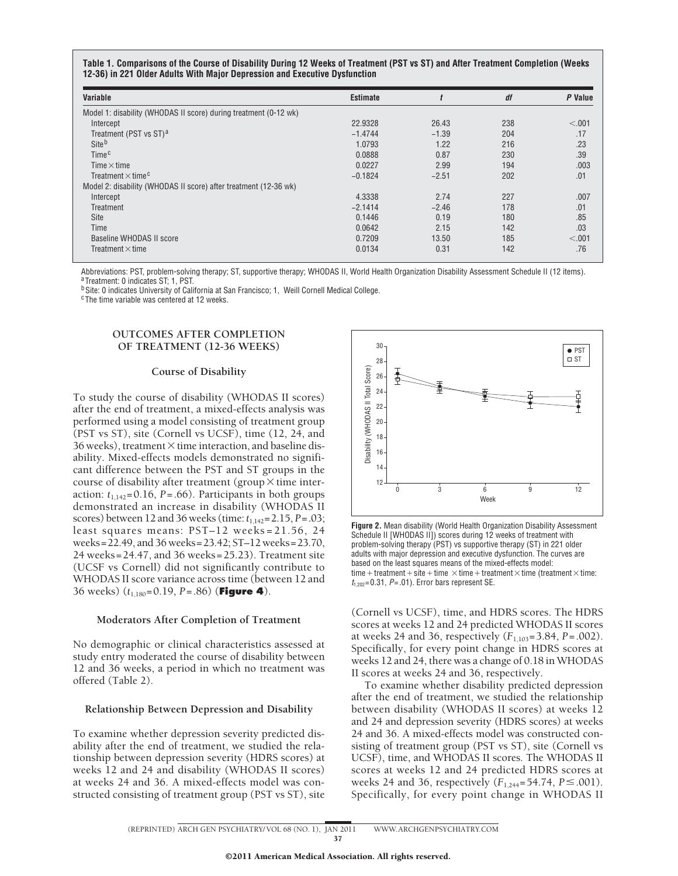**Table 1. Comparisons of the Course of Disability During 12 Weeks of Treatment (PST vs ST) and After Treatment Completion (Weeks 12-36) in 221 Older Adults With Major Depression and Executive Dysfunction**

| Variable                                                         | <b>Estimate</b> |         | df  | P Value |
|------------------------------------------------------------------|-----------------|---------|-----|---------|
| Model 1: disability (WHODAS II score) during treatment (0-12 wk) |                 |         |     |         |
| Intercept                                                        | 22.9328         | 26.43   | 238 | < .001  |
| Treatment (PST vs ST) <sup>a</sup>                               | $-1.4744$       | $-1.39$ | 204 | .17     |
| Site <sup>b</sup>                                                | 1.0793          | 1.22    | 216 | .23     |
| Time <sup>c</sup>                                                | 0.0888          | 0.87    | 230 | .39     |
| Time $\times$ time                                               | 0.0227          | 2.99    | 194 | .003    |
| Treatment $\times$ time <sup>c</sup>                             | $-0.1824$       | $-2.51$ | 202 | .01     |
| Model 2: disability (WHODAS II score) after treatment (12-36 wk) |                 |         |     |         |
| Intercept                                                        | 4.3338          | 2.74    | 227 | .007    |
| Treatment                                                        | $-2.1414$       | $-2.46$ | 178 | .01     |
| Site                                                             | 0.1446          | 0.19    | 180 | .85     |
| Time                                                             | 0.0642          | 2.15    | 142 | .03     |
| Baseline WHODAS II score                                         | 0.7209          | 13.50   | 185 | < .001  |
| Treatment $\times$ time                                          | 0.0134          | 0.31    | 142 | .76     |

Abbreviations: PST, problem-solving therapy; ST, supportive therapy; WHODAS II, World Health Organization Disability Assessment Schedule II (12 items).<br><sup>a</sup>Treatment: 0 indicates ST; 1, PST.

<sup>b</sup> Site: 0 indicates University of California at San Francisco; 1, Weill Cornell Medical College.

<sup>c</sup>The time variable was centered at 12 weeks.

## **OUTCOMES AFTER COMPLETION OF TREATMENT (12-36 WEEKS)**

## **Course of Disability**

To study the course of disability (WHODAS II scores) after the end of treatment, a mixed-effects analysis was performed using a model consisting of treatment group (PST vs ST), site (Cornell vs UCSF), time (12, 24, and 36 weeks), treatment  $\times$  time interaction, and baseline disability. Mixed-effects models demonstrated no significant difference between the PST and ST groups in the course of disability after treatment (group  $\times$  time interaction:  $t_{1,142}$ =0.16, *P*=.66). Participants in both groups demonstrated an increase in disability (WHODAS II scores) between 12 and 36 weeks (time: *t*1,142=2.15, *P*=.03; least squares means: PST–12 weeks=21.56, 24 weeks=22.49, and 36 weeks=23.42; ST–12 weeks=23.70, 24 weeks=24.47, and 36 weeks=25.23). Treatment site (UCSF vs Cornell) did not significantly contribute to WHODAS II score variance across time (between 12 and 36 weeks) (*t*1,180=0.19, *P*=.86) (**Figure 4**).

## **Moderators After Completion of Treatment**

No demographic or clinical characteristics assessed at study entry moderated the course of disability between 12 and 36 weeks, a period in which no treatment was offered (Table 2).

## **Relationship Between Depression and Disability**

To examine whether depression severity predicted disability after the end of treatment, we studied the relationship between depression severity (HDRS scores) at weeks 12 and 24 and disability (WHODAS II scores) at weeks 24 and 36. A mixed-effects model was constructed consisting of treatment group (PST vs ST), site



**Figure 2.** Mean disability (World Health Organization Disability Assessment Schedule II [WHODAS II]) scores during 12 weeks of treatment with problem-solving therapy (PST) vs supportive therapy (ST) in 221 older adults with major depression and executive dysfunction. The curves are based on the least squares means of the mixed-effects model: time + treatment + site + time  $\times$  time + treatment  $\times$  time (treatment  $\times$  time: *t*1,202=0.31, *P*=.01). Error bars represent SE.

(Cornell vs UCSF), time, and HDRS scores. The HDRS scores at weeks 12 and 24 predicted WHODAS II scores at weeks 24 and 36, respectively (*F*1,103=3.84, *P*=.002). Specifically, for every point change in HDRS scores at weeks 12 and 24, there was a change of 0.18 in WHODAS II scores at weeks 24 and 36, respectively.

To examine whether disability predicted depression after the end of treatment, we studied the relationship between disability (WHODAS II scores) at weeks 12 and 24 and depression severity (HDRS scores) at weeks 24 and 36. A mixed-effects model was constructed consisting of treatment group (PST vs ST), site (Cornell vs UCSF), time, and WHODAS II scores. The WHODAS II scores at weeks 12 and 24 predicted HDRS scores at weeks 24 and 36, respectively  $(F_{1,244}=54.74, P \le 0.001)$ . Specifically, for every point change in WHODAS II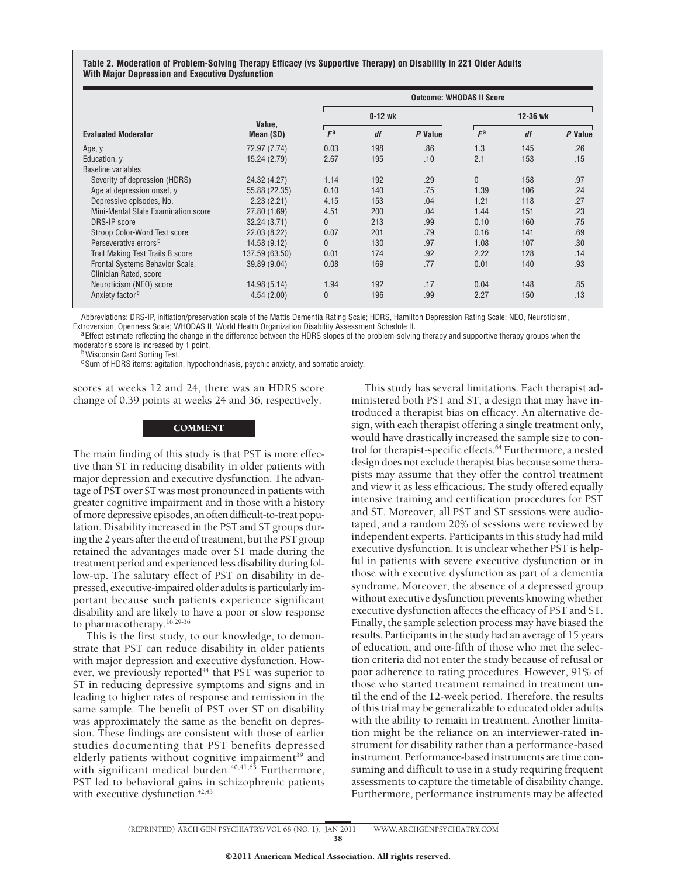## **Table 2. Moderation of Problem-Solving Therapy Efficacy (vs Supportive Therapy) on Disability in 221 Older Adults With Major Depression and Executive Dysfunction**

| <b>Evaluated Moderator</b>          |                     | <b>Outcome: WHODAS II Score</b> |     |         |              |     |         |
|-------------------------------------|---------------------|---------------------------------|-----|---------|--------------|-----|---------|
|                                     | Value.<br>Mean (SD) | $0-12$ wk                       |     |         | 12-36 wk     |     |         |
|                                     |                     | $F^a$                           | df  | P Value | $F^a$        | df  | P Value |
| Age, y                              | 72.97 (7.74)        | 0.03                            | 198 | .86     | 1.3          | 145 | .26     |
| Education, y                        | 15.24 (2.79)        | 2.67                            | 195 | .10     | 2.1          | 153 | .15     |
| Baseline variables                  |                     |                                 |     |         |              |     |         |
| Severity of depression (HDRS)       | 24.32 (4.27)        | 1.14                            | 192 | .29     | $\mathbf{0}$ | 158 | .97     |
| Age at depression onset, y          | 55.88 (22.35)       | 0.10                            | 140 | .75     | 1.39         | 106 | .24     |
| Depressive episodes, No.            | 2.23(2.21)          | 4.15                            | 153 | .04     | 1.21         | 118 | .27     |
| Mini-Mental State Examination score | 27.80 (1.69)        | 4.51                            | 200 | .04     | 1.44         | 151 | .23     |
| DRS-IP score                        | 32.24 (3.71)        | $\mathbf{0}$                    | 213 | .99     | 0.10         | 160 | .75     |
| Stroop Color-Word Test score        | 22.03 (8.22)        | 0.07                            | 201 | .79     | 0.16         | 141 | .69     |
| Perseverative errors <sup>b</sup>   | 14.58 (9.12)        | $\mathbf{0}$                    | 130 | .97     | 1.08         | 107 | .30     |
| Trail Making Test Trails B score    | 137.59 (63.50)      | 0.01                            | 174 | .92     | 2.22         | 128 | .14     |
| Frontal Systems Behavior Scale,     | 39.89 (9.04)        | 0.08                            | 169 | .77     | 0.01         | 140 | .93     |
| Clinician Rated, score              |                     |                                 |     |         |              |     |         |
| Neuroticism (NEO) score             | 14.98(5.14)         | 1.94                            | 192 | .17     | 0.04         | 148 | .85     |
| Anxiety factor <sup>c</sup>         | 4.54(2.00)          | $\theta$                        | 196 | .99     | 2.27         | 150 | .13     |

Abbreviations: DRS-IP, initiation/preservation scale of the Mattis Dementia Rating Scale; HDRS, Hamilton Depression Rating Scale; NEO, Neuroticism,

a Effect estimate reflecting the change in the difference between the HDRS slopes of the problem-solving therapy and supportive therapy groups when the moderator's score is increased by 1 point.<br><sup>b</sup>Wisconsin Card Sorting Test.

cSum of HDRS items: agitation, hypochondriasis, psychic anxiety, and somatic anxiety.

scores at weeks 12 and 24, there was an HDRS score change of 0.39 points at weeks 24 and 36, respectively.

#### **COMMENT**

The main finding of this study is that PST is more effective than ST in reducing disability in older patients with major depression and executive dysfunction. The advantage of PST over ST was most pronounced in patients with greater cognitive impairment and in those with a history ofmore depressive episodes, an often difficult-to-treat population. Disability increased in the PST and ST groups during the 2 years after the end of treatment, but the PST group retained the advantages made over ST made during the treatment period and experienced less disability during follow-up. The salutary effect of PST on disability in depressed, executive-impaired older adults is particularly important because such patients experience significant disability and are likely to have a poor or slow response to pharmacotherapy.16,29-36

This is the first study, to our knowledge, to demonstrate that PST can reduce disability in older patients with major depression and executive dysfunction. However, we previously reported<sup>44</sup> that PST was superior to ST in reducing depressive symptoms and signs and in leading to higher rates of response and remission in the same sample. The benefit of PST over ST on disability was approximately the same as the benefit on depression. These findings are consistent with those of earlier studies documenting that PST benefits depressed elderly patients without cognitive impairment<sup>39</sup> and with significant medical burden. $40,41,63$  Furthermore, PST led to behavioral gains in schizophrenic patients with executive dysfunction.<sup>42,43</sup>

This study has several limitations. Each therapist administered both PST and ST, a design that may have introduced a therapist bias on efficacy. An alternative design, with each therapist offering a single treatment only, would have drastically increased the sample size to control for therapist-specific effects.<sup>64</sup> Furthermore, a nested design does not exclude therapist bias because some therapists may assume that they offer the control treatment and view it as less efficacious. The study offered equally intensive training and certification procedures for PST and ST. Moreover, all PST and ST sessions were audiotaped, and a random 20% of sessions were reviewed by independent experts. Participants in this study had mild executive dysfunction. It is unclear whether PST is helpful in patients with severe executive dysfunction or in those with executive dysfunction as part of a dementia syndrome. Moreover, the absence of a depressed group without executive dysfunction prevents knowing whether executive dysfunction affects the efficacy of PST and ST. Finally, the sample selection process may have biased the results. Participants in the study had an average of 15 years of education, and one-fifth of those who met the selection criteria did not enter the study because of refusal or poor adherence to rating procedures. However, 91% of those who started treatment remained in treatment until the end of the 12-week period. Therefore, the results of this trial may be generalizable to educated older adults with the ability to remain in treatment. Another limitation might be the reliance on an interviewer-rated instrument for disability rather than a performance-based instrument. Performance-based instruments are time consuming and difficult to use in a study requiring frequent assessments to capture the timetable of disability change. Furthermore, performance instruments may be affected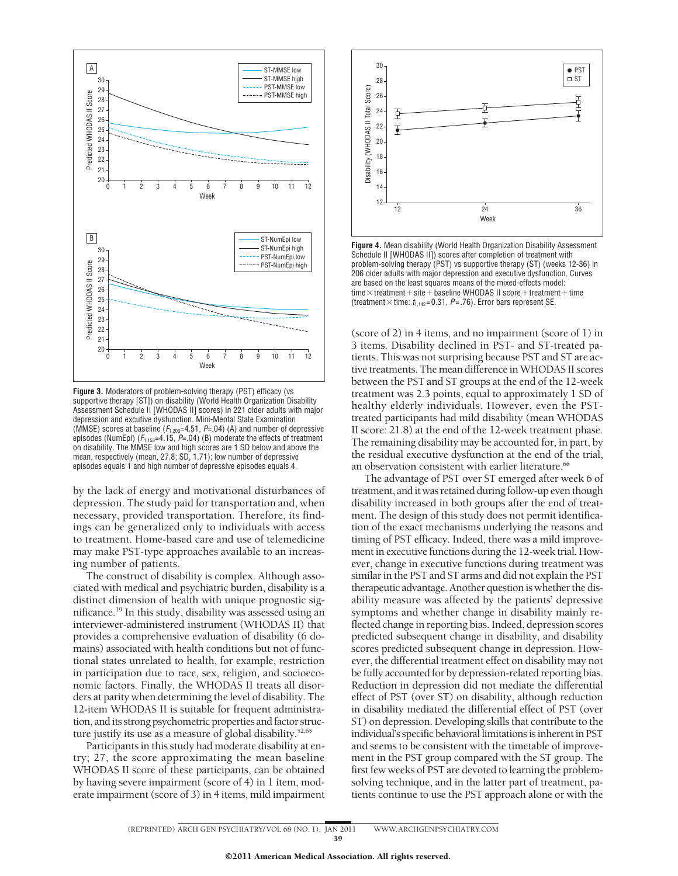

**Figure 3.** Moderators of problem-solving therapy (PST) efficacy (vs supportive therapy [ST]) on disability (World Health Organization Disability Assessment Schedule II [WHODAS II] scores) in 221 older adults with major depression and excutive dysfunction. Mini-Mental State Examination (MMSE) scores at baseline  $(F_{1,200}=4.51, P_{7}=0.04)$  (A) and number of depressive episodes (NumEpi) ( $F_{1,153}=4.15$ ,  $P=04$ ) (B) moderate the effects of treatment on disability. The MMSE low and high scores are 1 SD below and above the mean, respectively (mean, 27.8; SD, 1.71); low number of depressive episodes equals 1 and high number of depressive episodes equals 4.

by the lack of energy and motivational disturbances of depression. The study paid for transportation and, when necessary, provided transportation. Therefore, its findings can be generalized only to individuals with access to treatment. Home-based care and use of telemedicine may make PST-type approaches available to an increasing number of patients.

The construct of disability is complex. Although associated with medical and psychiatric burden, disability is a distinct dimension of health with unique prognostic significance.19 In this study, disability was assessed using an interviewer-administered instrument (WHODAS II) that provides a comprehensive evaluation of disability (6 domains) associated with health conditions but not of functional states unrelated to health, for example, restriction in participation due to race, sex, religion, and socioeconomic factors. Finally, the WHODAS II treats all disorders at parity when determining the level of disability. The 12-item WHODAS II is suitable for frequent administration, and its strong psychometric properties and factor structure justify its use as a measure of global disability.<sup>52,65</sup>

Participants in this study had moderate disability at entry; 27, the score approximating the mean baseline WHODAS II score of these participants, can be obtained by having severe impairment (score of 4) in 1 item, moderate impairment (score of 3) in 4 items, mild impairment



**Figure 4.** Mean disability (World Health Organization Disability Assessment Schedule II [WHODAS II]) scores after completion of treatment with problem-solving therapy (PST) vs supportive therapy (ST) (weeks 12-36) in 206 older adults with major depression and executive dysfunction. Curves are based on the least squares means of the mixed-effects model:  $time \times treatment + site + baseline$  WHODAS II score + treatment + time (treatment  $\times$  time:  $t_{1,142}=0.31$ , *P*=.76). Error bars represent SE.

(score of 2) in 4 items, and no impairment (score of 1) in 3 items. Disability declined in PST- and ST-treated patients. This was not surprising because PST and ST are active treatments. The mean difference inWHODAS II scores between the PST and ST groups at the end of the 12-week treatment was 2.3 points, equal to approximately 1 SD of healthy elderly individuals. However, even the PSTtreated participants had mild disability (mean WHODAS II score: 21.8) at the end of the 12-week treatment phase. The remaining disability may be accounted for, in part, by the residual executive dysfunction at the end of the trial, an observation consistent with earlier literature.<sup>66</sup>

The advantage of PST over ST emerged after week 6 of treatment, and it was retained during follow-up even though disability increased in both groups after the end of treatment. The design of this study does not permit identification of the exact mechanisms underlying the reasons and timing of PST efficacy. Indeed, there was a mild improvement in executive functions during the 12-week trial. However, change in executive functions during treatment was similar in the PST and ST arms and did not explain the PST therapeutic advantage. Another question is whether the disability measure was affected by the patients' depressive symptoms and whether change in disability mainly reflected change in reporting bias. Indeed, depression scores predicted subsequent change in disability, and disability scores predicted subsequent change in depression. However, the differential treatment effect on disability may not be fully accounted for by depression-related reporting bias. Reduction in depression did not mediate the differential effect of PST (over ST) on disability, although reduction in disability mediated the differential effect of PST (over ST) on depression. Developing skills that contribute to the individual's specific behavioral limitations is inherent in PST and seems to be consistent with the timetable of improvement in the PST group compared with the ST group. The first few weeks of PST are devoted to learning the problemsolving technique, and in the latter part of treatment, patients continue to use the PST approach alone or with the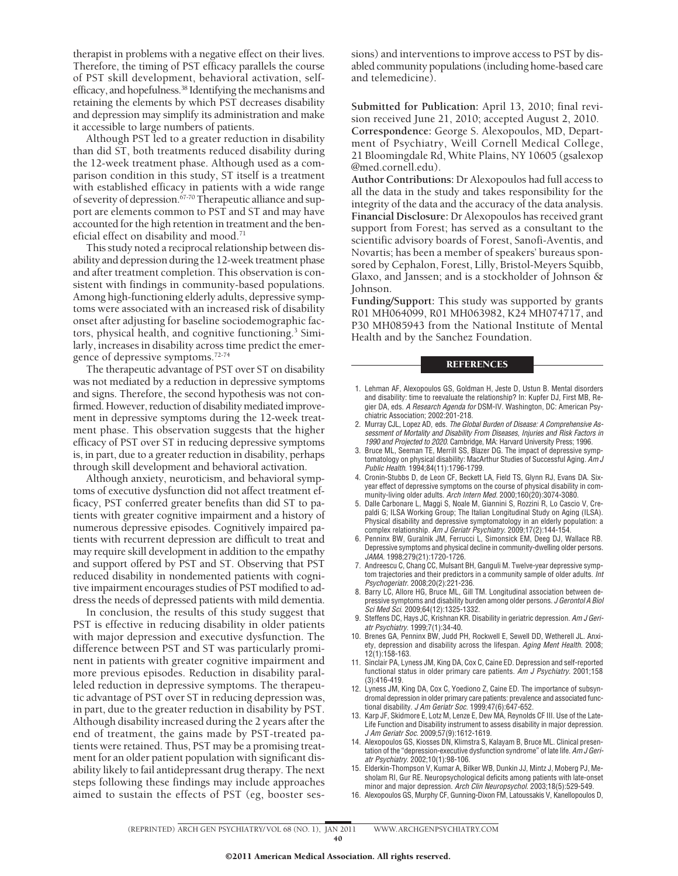therapist in problems with a negative effect on their lives. Therefore, the timing of PST efficacy parallels the course of PST skill development, behavioral activation, selfefficacy, and hopefulness.38 Identifying the mechanisms and retaining the elements by which PST decreases disability and depression may simplify its administration and make it accessible to large numbers of patients.

Although PST led to a greater reduction in disability than did ST, both treatments reduced disability during the 12-week treatment phase. Although used as a comparison condition in this study, ST itself is a treatment with established efficacy in patients with a wide range of severity of depression.<sup>67-70</sup> Therapeutic alliance and support are elements common to PST and ST and may have accounted for the high retention in treatment and the beneficial effect on disability and mood.<sup>71</sup>

This study noted a reciprocal relationship between disability and depression during the 12-week treatment phase and after treatment completion. This observation is consistent with findings in community-based populations. Among high-functioning elderly adults, depressive symptoms were associated with an increased risk of disability onset after adjusting for baseline sociodemographic factors, physical health, and cognitive functioning.<sup>3</sup> Similarly, increases in disability across time predict the emergence of depressive symptoms.72-74

The therapeutic advantage of PST over ST on disability was not mediated by a reduction in depressive symptoms and signs. Therefore, the second hypothesis was not confirmed. However, reduction of disability mediated improvement in depressive symptoms during the 12-week treatment phase. This observation suggests that the higher efficacy of PST over ST in reducing depressive symptoms is, in part, due to a greater reduction in disability, perhaps through skill development and behavioral activation.

Although anxiety, neuroticism, and behavioral symptoms of executive dysfunction did not affect treatment efficacy, PST conferred greater benefits than did ST to patients with greater cognitive impairment and a history of numerous depressive episodes. Cognitively impaired patients with recurrent depression are difficult to treat and may require skill development in addition to the empathy and support offered by PST and ST. Observing that PST reduced disability in nondemented patients with cognitive impairment encourages studies of PST modified to address the needs of depressed patients with mild dementia.

In conclusion, the results of this study suggest that PST is effective in reducing disability in older patients with major depression and executive dysfunction. The difference between PST and ST was particularly prominent in patients with greater cognitive impairment and more previous episodes. Reduction in disability paralleled reduction in depressive symptoms. The therapeutic advantage of PST over ST in reducing depression was, in part, due to the greater reduction in disability by PST. Although disability increased during the 2 years after the end of treatment, the gains made by PST-treated patients were retained. Thus, PST may be a promising treatment for an older patient population with significant disability likely to fail antidepressant drug therapy. The next steps following these findings may include approaches aimed to sustain the effects of PST (eg, booster sessions) and interventions to improve access to PST by disabled community populations (including home-based care and telemedicine).

**Submitted for Publication:** April 13, 2010; final revision received June 21, 2010; accepted August 2, 2010. **Correspondence:** George S. Alexopoulos, MD, Department of Psychiatry, Weill Cornell Medical College, 21 Bloomingdale Rd, White Plains, NY 10605 (gsalexop @med.cornell.edu).

**Author Contributions:** Dr Alexopoulos had full access to all the data in the study and takes responsibility for the integrity of the data and the accuracy of the data analysis. **Financial Disclosure:** Dr Alexopoulos has received grant support from Forest; has served as a consultant to the scientific advisory boards of Forest, Sanofi-Aventis, and Novartis; has been a member of speakers' bureaus sponsored by Cephalon, Forest, Lilly, Bristol-Meyers Squibb, Glaxo, and Janssen; and is a stockholder of Johnson & Johnson.

**Funding/Support:** This study was supported by grants R01 MH064099, R01 MH063982, K24 MH074717, and P30 MH085943 from the National Institute of Mental Health and by the Sanchez Foundation.

#### **REFERENCES**

- 1. Lehman AF, Alexopoulos GS, Goldman H, Jeste D, Ustun B. Mental disorders and disability: time to reevaluate the relationship? In: Kupfer DJ, First MB, Regier DA, eds. *A Research Agenda for* DSM-IV*.* Washington, DC: American Psychiatric Association; 2002:201-218.
- 2. Murray CJL, Lopez AD, eds. *The Global Burden of Disease: A Comprehensive Assessment of Mortality and Disability From Diseases, Injuries and Risk Factors in 1990 and Projected to 2020.* Cambridge, MA: Harvard University Press; 1996.
- 3. Bruce ML, Seeman TE, Merrill SS, Blazer DG. The impact of depressive symptomatology on physical disability: MacArthur Studies of Successful Aging. *Am J Public Health*. 1994;84(11):1796-1799.
- 4. Cronin-Stubbs D, de Leon CF, Beckett LA, Field TS, Glynn RJ, Evans DA. Sixyear effect of depressive symptoms on the course of physical disability in community-living older adults. *Arch Intern Med*. 2000;160(20):3074-3080.
- 5. Dalle Carbonare L, Maggi S, Noale M, Giannini S, Rozzini R, Lo Cascio V, Crepaldi G; ILSA Working Group; The Italian Longitudinal Study on Aging (ILSA). Physical disability and depressive symptomatology in an elderly population: a complex relationship. *Am J Geriatr Psychiatry*. 2009;17(2):144-154.
- 6. Penninx BW, Guralnik JM, Ferrucci L, Simonsick EM, Deeg DJ, Wallace RB. Depressive symptoms and physical decline in community-dwelling older persons. *JAMA*. 1998;279(21):1720-1726.
- 7. Andreescu C, Chang CC, Mulsant BH, Ganguli M. Twelve-year depressive symptom trajectories and their predictors in a community sample of older adults. *Int Psychogeriatr*. 2008;20(2):221-236.
- 8. Barry LC, Allore HG, Bruce ML, Gill TM. Longitudinal association between depressive symptoms and disability burden among older persons. *J Gerontol A Biol Sci Med Sci*. 2009;64(12):1325-1332.
- 9. Steffens DC, Hays JC, Krishnan KR. Disability in geriatric depression. *Am J Geriatr Psychiatry*. 1999;7(1):34-40.
- 10. Brenes GA, Penninx BW, Judd PH, Rockwell E, Sewell DD, Wetherell JL. Anxiety, depression and disability across the lifespan. *Aging Ment Health*. 2008; 12(1):158-163.
- 11. Sinclair PA, Lyness JM, King DA, Cox C, Caine ED. Depression and self-reported functional status in older primary care patients. *Am J Psychiatry*. 2001;158 (3):416-419.
- 12. Lyness JM, King DA, Cox C, Yoediono Z, Caine ED. The importance of subsyndromal depression in older primary care patients: prevalence and associated functional disability. *J Am Geriatr Soc*. 1999;47(6):647-652.
- 13. Karp JF, Skidmore E, Lotz M, Lenze E, Dew MA, Reynolds CF III. Use of the Late-Life Function and Disability instrument to assess disability in major depression. *J Am Geriatr Soc*. 2009;57(9):1612-1619.
- 14. Alexopoulos GS, Kiosses DN, Klimstra S, Kalayam B, Bruce ML. Clinical presentation of the "depression-executive dysfunction syndrome" of late life. *Am J Geriatr Psychiatry*. 2002;10(1):98-106.
- 15. Elderkin-Thompson V, Kumar A, Bilker WB, Dunkin JJ, Mintz J, Moberg PJ, Mesholam RI, Gur RE. Neuropsychological deficits among patients with late-onset minor and major depression. *Arch Clin Neuropsychol*. 2003;18(5):529-549.
- 16. Alexopoulos GS, Murphy CF, Gunning-Dixon FM, Latoussakis V, Kanellopoulos D,